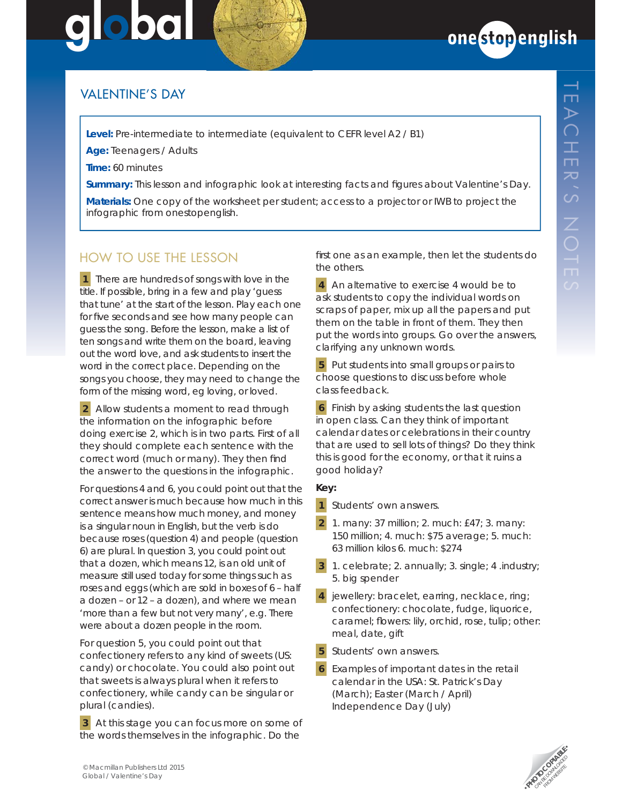# 000 **global**



## VALENTINE'S DAY

**Level:** Pre-intermediate to intermediate (equivalent to CEFR level A2 / B1)

**Age:** Teenagers / Adults

**Time:** 60 minutes

**Summary:** This lesson and infographic look at interesting facts and figures about Valentine's Day.

**Materials:** One copy of the worksheet per student; access to a projector or IWB to project the infographic from onestopenglish.

# HOW TO USE THE LESSON

*1* There are hundreds of songs with *love* in the title. If possible, bring in a few and play 'guess that tune' at the start of the lesson. Play each one for five seconds and see how many people can guess the song. Before the lesson, make a list of ten songs and write them on the board, leaving out the word *love*, and ask students to insert the word in the correct place. Depending on the songs you choose, they may need to change the form of the missing word, eg *loving*, or *loved*.

**2** Allow students a moment to read through the information on the infographic before doing exercise 2, which is in two parts. First of all they should complete each sentence with the correct word (*much* or *many*). They then find the answer to the questions in the infographic.

For questions 4 and 6, you could point out that the correct answer is *much* because *how much* in this sentence means *how much money*, and *money* is a singular noun in English, but the verb is *do* because *roses* (question 4) and *people* (question 6) are plural. In question 3, you could point out that *a dozen*, which means 12, is an old unit of measure still used today for some things such as *roses* and *eggs* (which are sold in boxes of 6 – *half a dozen* – or 12 – *a dozen*), and where we mean 'more than a few but not very many', e.g. *There were about a dozen people in the room*.

For question 5, you could point out that *confectionery* refers to any kind of *sweets* (US: *candy*) or *chocolate*. You could also point out that s*weets* is always plural when it refers to confectionery, while *candy* can be singular or plural (*candies*).

**3** At this stage you can focus more on some of the words themselves in the infographic. Do the

first one as an example, then let the students do the others.

**4** An alternative to exercise 4 would be to ask students to copy the individual words on scraps of paper, mix up all the papers and put them on the table in front of them. They then put the words into groups. Go over the answers, clarifying any unknown words.

**5** Put students into small groups or pairs to choose questions to discuss before whole class feedback.

*6* Finish by asking students the last question in open class. Can they think of important calendar dates or celebrations in their country that are used to sell lots of things? Do they think this is good for the economy, or that it ruins a good holiday?

#### *Key:*

*1 Students' own answers.*

- *2 1. many: 37 million; 2. much: £47; 3. many: 150 million; 4. much: \$75 average; 5. much: 63 million kilos 6. much: \$274*
- *3 1. celebrate; 2. annually; 3. single; 4 .industry; 5. big spender*
- *4 jewellery: bracelet, earring, necklace, ring; confectionery: chocolate, fudge, liquorice, caramel; fl owers: lily, orchid, rose, tulip; other: meal, date, gift*
- *5 Students' own answers.*
- *6 Examples of important dates in the retail calendar in the USA: St. Patrick's Day (March); Easter (March / April) Independence Day (July)*



 $\overline{\phantom{0}}$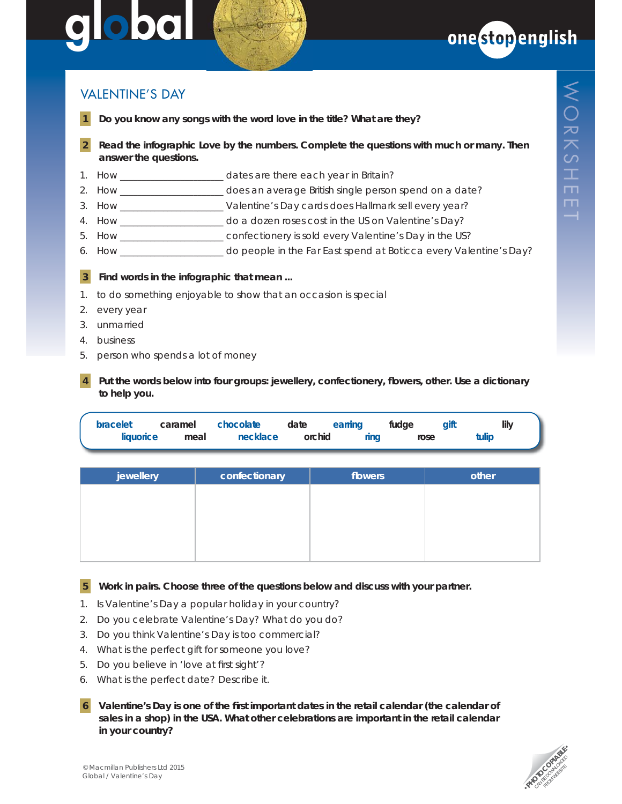# 000 **global**



### **VALENTINE'S DAY**

- **1 Do you know any songs with the word** *love* **in the title? What are they?**
- **2 Read the infographic** *Love by the numbers***. Complete the questions with** *much* **or** *many***. Then answer the questions.**
- 1. How \_\_\_\_\_\_\_\_\_\_\_\_\_\_\_\_\_\_\_\_\_\_\_\_\_\_\_ dates are there each year in Britain?
- 2. How **EXECUTE:** does an average British single person spend on a date?
- 3. How \_\_\_\_\_\_\_\_\_\_\_\_\_\_\_\_\_\_\_\_\_\_\_\_ Valentine's Day cards does Hallmark sell every year?
- 4. How \_\_\_\_\_\_\_\_\_\_\_\_\_\_\_\_\_\_\_\_\_\_\_\_ do a dozen roses cost in the US on Valentine's Day?
- 5. How confectionery is sold every Valentine's Day in the US?
- 6. How \_\_\_\_\_\_\_\_\_\_\_\_\_\_\_\_\_\_\_\_\_\_\_\_ do people in the Far East spend at Boticca every Valentine's Day?

#### **3 Find words in the infographic that mean ...**

- 1. to do something enjoyable to show that an occasion is special
- 2. every year
- 3. unmarried
- 4. business
- 5. person who spends a lot of money
- Put the words below into four groups: jewellery, confectionery, flowers, other. Use a dictionary  **to help you.**

| bracelet  | caramel | <b>chocolate</b> |        | date earring | fudae | aift  | lily |
|-----------|---------|------------------|--------|--------------|-------|-------|------|
| liquorice | meal    | necklace         | orchid | rina         | rose  | tulip |      |

| jewellery | confectionary | flowers | other |
|-----------|---------------|---------|-------|
|           |               |         |       |
|           |               |         |       |
|           |               |         |       |
|           |               |         |       |
|           |               |         |       |

 **5 Work in pairs. Choose three of the questions below and discuss with your partner.**

- 1. Is Valentine's Day a popular holiday in your country?
- 2. Do you celebrate Valentine's Day? What do you do?
- 3. Do you think Valentine's Day is too commercial?
- 4. What is the perfect gift for someone you love?
- 5. Do you believe in 'love at first sight'?
- 6. What is the perfect date? Describe it.
- **6** Valentine's Day is one of the first important dates in the retail calendar (the calendar of  **sales in a shop) in the USA. What other celebrations are important in the retail calendar in your country?**